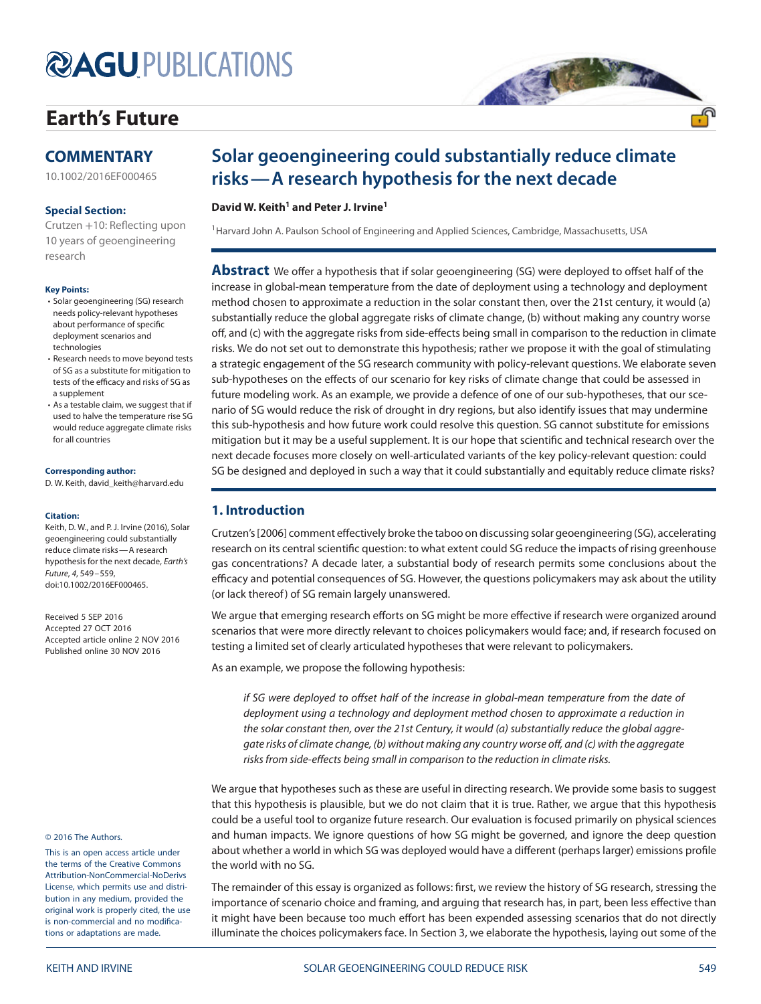# **@AGUPUBLICATIONS**

## **[Earth's Future](http://onlinelibrary.wiley.com/journal/10.1002/%28ISSN%292328-4277)**



[10.1002/2016EF000465](http://dx.doi.org/10.1002/2016EF000465)

#### **Special Section:**

Crutzen +10: Reflecting upon [10 years of geoengineering](http://onlinelibrary.wiley.com/journal/10.1002/(ISSN)2328-4277/specialsection/GEOENGIN1) research

#### **Key Points:**

- Solar geoengineering (SG) research needs policy-relevant hypotheses about performance of specific deployment scenarios and technologies
- Research needs to move beyond tests of SG as a substitute for mitigation to tests of the efficacy and risks of SG as a supplement
- As a testable claim, we suggest that if used to halve the temperature rise SG would reduce aggregate climate risks for all countries

#### **Corresponding author:**

D. W. Keith, david\_keith@harvard.edu

#### **Citation:**

Keith, D. W., and P. J. Irvine (2016), Solar geoengineering could substantially reduce climate risks—A research hypothesis for the next decade, Earth's Future, 4, 549–559, doi[:10.1002/2016EF000465.](http://dx.doi.org/info:doi/10.1002/2016EF000465)

Received 5 SEP 2016 Accepted 27 OCT 2016 Accepted article online 2 NOV 2016 Published online 30 NOV 2016

#### © 2016 The Authors.

This is an open access article under the terms of the Creative Commons Attribution-NonCommercial-NoDerivs License, which permits use and distribution in any medium, provided the original work is properly cited, the use is non-commercial and no modifications or adaptations are made.

### **Solar geoengineering could substantially reduce climate risks—A research hypothesis for the next decade**

A REAL PROPERTY

<u>್ಲ್</u>

#### **David W. Keith<sup>1</sup> and Peter J. Irvine1**

<sup>1</sup> Harvard John A. Paulson School of Engineering and Applied Sciences, Cambridge, Massachusetts, USA

**Abstract** We offer a hypothesis that if solar geoengineering (SG) were deployed to offset half of the increase in global-mean temperature from the date of deployment using a technology and deployment method chosen to approximate a reduction in the solar constant then, over the 21st century, it would (a) substantially reduce the global aggregate risks of climate change, (b) without making any country worse off, and (c) with the aggregate risks from side-effects being small in comparison to the reduction in climate risks. We do not set out to demonstrate this hypothesis; rather we propose it with the goal of stimulating a strategic engagement of the SG research community with policy-relevant questions. We elaborate seven sub-hypotheses on the effects of our scenario for key risks of climate change that could be assessed in future modeling work. As an example, we provide a defence of one of our sub-hypotheses, that our scenario of SG would reduce the risk of drought in dry regions, but also identify issues that may undermine this sub-hypothesis and how future work could resolve this question. SG cannot substitute for emissions mitigation but it may be a useful supplement. It is our hope that scientific and technical research over the next decade focuses more closely on well-articulated variants of the key policy-relevant question: could SG be designed and deployed in such a way that it could substantially and equitably reduce climate risks?

#### **1. Introduction**

Crutzen's [2006] comment effectively broke the taboo on discussing solar geoengineering (SG), accelerating research on its central scientific question: to what extent could SG reduce the impacts of rising greenhouse gas concentrations? A decade later, a substantial body of research permits some conclusions about the efficacy and potential consequences of SG. However, the questions policymakers may ask about the utility (or lack thereof) of SG remain largely unanswered.

We argue that emerging research efforts on SG might be more effective if research were organized around scenarios that were more directly relevant to choices policymakers would face; and, if research focused on testing a limited set of clearly articulated hypotheses that were relevant to policymakers.

As an example, we propose the following hypothesis:

if SG were deployed to offset half of the increase in global-mean temperature from the date of deployment using a technology and deployment method chosen to approximate a reduction in the solar constant then, over the 21st Century, it would (a) substantially reduce the global aggregate risks of climate change, (b) without making any country worse off, and (c) with the aggregate risks from side-effects being small in comparison to the reduction in climate risks.

We argue that hypotheses such as these are useful in directing research. We provide some basis to suggest that this hypothesis is plausible, but we do not claim that it is true. Rather, we argue that this hypothesis could be a useful tool to organize future research. Our evaluation is focused primarily on physical sciences and human impacts. We ignore questions of how SG might be governed, and ignore the deep question about whether a world in which SG was deployed would have a different (perhaps larger) emissions profile the world with no SG.

The remainder of this essay is organized as follows: first, we review the history of SG research, stressing the importance of scenario choice and framing, and arguing that research has, in part, been less effective than it might have been because too much effort has been expended assessing scenarios that do not directly illuminate the choices policymakers face. In Section 3, we elaborate the hypothesis, laying out some of the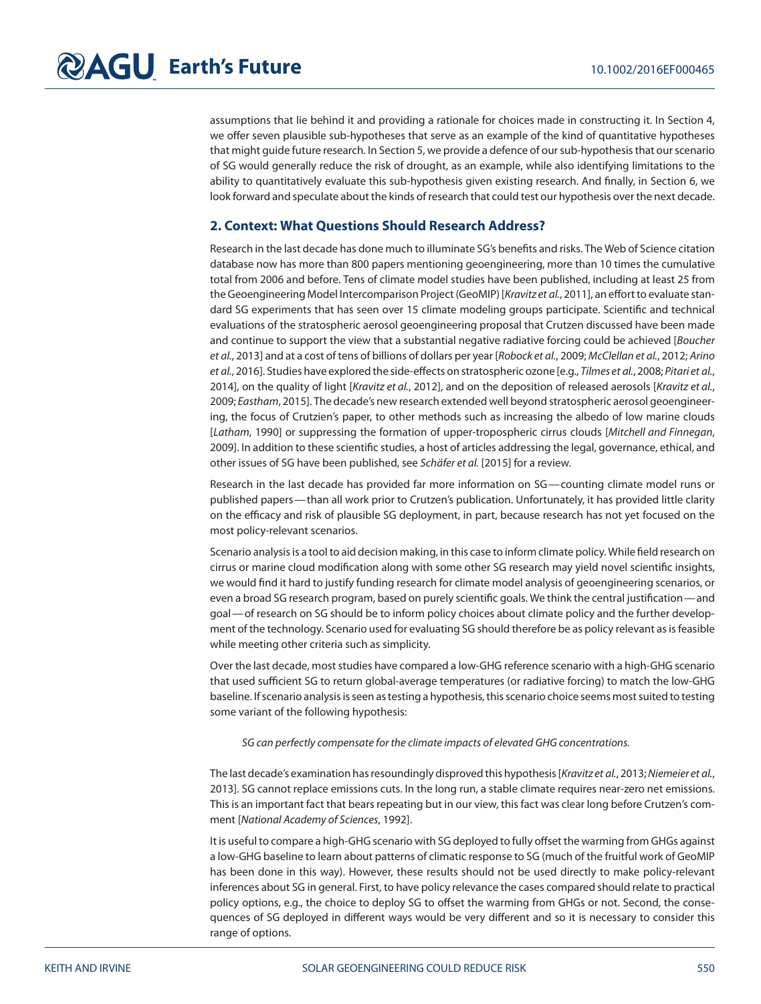assumptions that lie behind it and providing a rationale for choices made in constructing it. In Section 4, we offer seven plausible sub-hypotheses that serve as an example of the kind of quantitative hypotheses that might guide future research. In Section 5, we provide a defence of our sub-hypothesis that our scenario of SG would generally reduce the risk of drought, as an example, while also identifying limitations to the ability to quantitatively evaluate this sub-hypothesis given existing research. And finally, in Section 6, we look forward and speculate about the kinds of research that could test our hypothesis over the next decade.

#### **2. Context: What Questions Should Research Address?**

Research in the last decade has done much to illuminate SG's benefits and risks. The Web of Science citation database now has more than 800 papers mentioning geoengineering, more than 10 times the cumulative total from 2006 and before. Tens of climate model studies have been published, including at least 25 from the Geoengineering Model Intercomparison Project (GeoMIP) [Kravitz et al., 2011], an effort to evaluate standard SG experiments that has seen over 15 climate modeling groups participate. Scientific and technical evaluations of the stratospheric aerosol geoengineering proposal that Crutzen discussed have been made and continue to support the view that a substantial negative radiative forcing could be achieved [Boucher et al., 2013] and at a cost of tens of billions of dollars per year [Robock et al., 2009; McClellan et al., 2012; Arino et al., 2016]. Studies have explored the side-effects on stratospheric ozone [e.g., Tilmes et al., 2008; Pitari et al., 2014], on the quality of light [Kravitz et al., 2012], and on the deposition of released aerosols [Kravitz et al., 2009; Eastham, 2015]. The decade's new research extended well beyond stratospheric aerosol geoengineering, the focus of Crutzien's paper, to other methods such as increasing the albedo of low marine clouds [Latham, 1990] or suppressing the formation of upper-tropospheric cirrus clouds [Mitchell and Finnegan, 2009]. In addition to these scientific studies, a host of articles addressing the legal, governance, ethical, and other issues of SG have been published, see Schäfer et al. [2015] for a review.

Research in the last decade has provided far more information on SG—counting climate model runs or published papers— than all work prior to Crutzen's publication. Unfortunately, it has provided little clarity on the efficacy and risk of plausible SG deployment, in part, because research has not yet focused on the most policy-relevant scenarios.

Scenario analysis is a tool to aid decision making, in this case to inform climate policy. While field research on cirrus or marine cloud modification along with some other SG research may yield novel scientific insights, we would find it hard to justify funding research for climate model analysis of geoengineering scenarios, or even a broad SG research program, based on purely scientific goals. We think the central justification—and goal—of research on SG should be to inform policy choices about climate policy and the further development of the technology. Scenario used for evaluating SG should therefore be as policy relevant as is feasible while meeting other criteria such as simplicity.

Over the last decade, most studies have compared a low-GHG reference scenario with a high-GHG scenario that used sufficient SG to return global-average temperatures (or radiative forcing) to match the low-GHG baseline. If scenario analysis is seen as testing a hypothesis, this scenario choice seems most suited to testing some variant of the following hypothesis:

#### SG can perfectly compensate for the climate impacts of elevated GHG concentrations.

The last decade's examination has resoundingly disproved this hypothesis [Kravitz et al., 2013; Niemeier et al., 2013]. SG cannot replace emissions cuts. In the long run, a stable climate requires near-zero net emissions. This is an important fact that bears repeating but in our view, this fact was clear long before Crutzen's comment [National Academy of Sciences, 1992].

It is useful to compare a high-GHG scenario with SG deployed to fully offset the warming from GHGs against a low-GHG baseline to learn about patterns of climatic response to SG (much of the fruitful work of GeoMIP has been done in this way). However, these results should not be used directly to make policy-relevant inferences about SG in general. First, to have policy relevance the cases compared should relate to practical policy options, e.g., the choice to deploy SG to offset the warming from GHGs or not. Second, the consequences of SG deployed in different ways would be very different and so it is necessary to consider this range of options.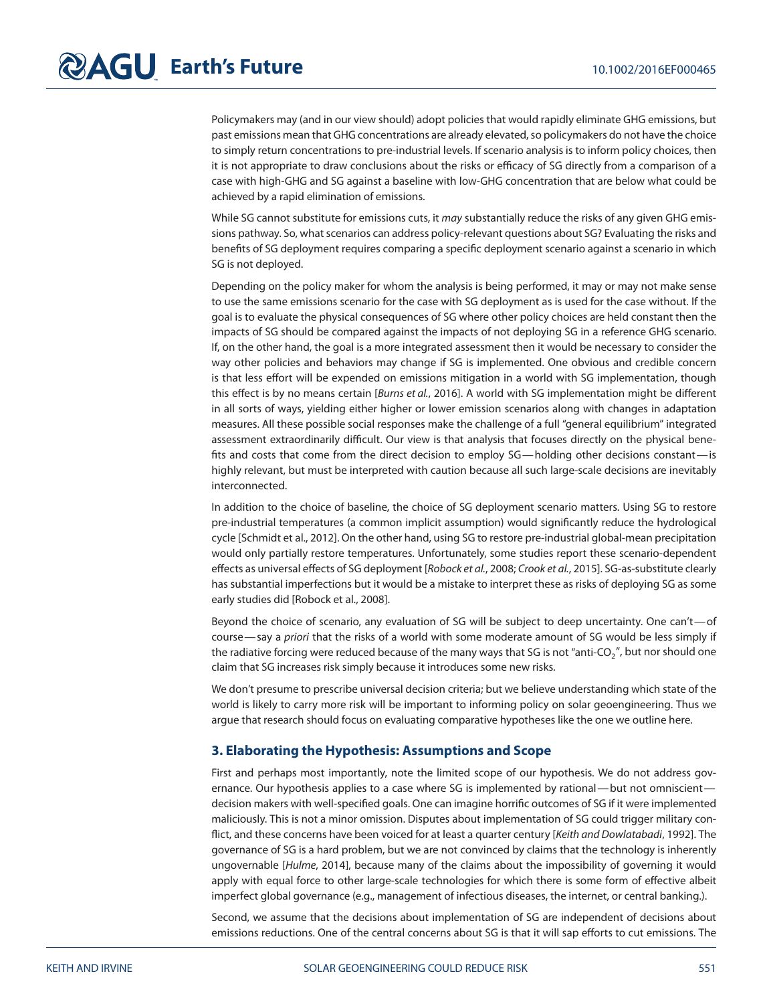Policymakers may (and in our view should) adopt policies that would rapidly eliminate GHG emissions, but past emissions mean that GHG concentrations are already elevated, so policymakers do not have the choice to simply return concentrations to pre-industrial levels. If scenario analysis is to inform policy choices, then it is not appropriate to draw conclusions about the risks or efficacy of SG directly from a comparison of a case with high-GHG and SG against a baseline with low-GHG concentration that are below what could be achieved by a rapid elimination of emissions.

While SG cannot substitute for emissions cuts, it may substantially reduce the risks of any given GHG emissions pathway. So, what scenarios can address policy-relevant questions about SG? Evaluating the risks and benefits of SG deployment requires comparing a specific deployment scenario against a scenario in which SG is not deployed.

Depending on the policy maker for whom the analysis is being performed, it may or may not make sense to use the same emissions scenario for the case with SG deployment as is used for the case without. If the goal is to evaluate the physical consequences of SG where other policy choices are held constant then the impacts of SG should be compared against the impacts of not deploying SG in a reference GHG scenario. If, on the other hand, the goal is a more integrated assessment then it would be necessary to consider the way other policies and behaviors may change if SG is implemented. One obvious and credible concern is that less effort will be expended on emissions mitigation in a world with SG implementation, though this effect is by no means certain [Burns et al., 2016]. A world with SG implementation might be different in all sorts of ways, yielding either higher or lower emission scenarios along with changes in adaptation measures. All these possible social responses make the challenge of a full "general equilibrium" integrated assessment extraordinarily difficult. Our view is that analysis that focuses directly on the physical benefits and costs that come from the direct decision to employ SG—holding other decisions constant—is highly relevant, but must be interpreted with caution because all such large-scale decisions are inevitably interconnected.

In addition to the choice of baseline, the choice of SG deployment scenario matters. Using SG to restore pre-industrial temperatures (a common implicit assumption) would significantly reduce the hydrological cycle [Schmidt et al., 2012]. On the other hand, using SG to restore pre-industrial global-mean precipitation would only partially restore temperatures. Unfortunately, some studies report these scenario-dependent effects as universal effects of SG deployment [Robock et al., 2008; Crook et al., 2015]. SG-as-substitute clearly has substantial imperfections but it would be a mistake to interpret these as risks of deploying SG as some early studies did [Robock et al., 2008].

Beyond the choice of scenario, any evaluation of SG will be subject to deep uncertainty. One can't—of course—say a priori that the risks of a world with some moderate amount of SG would be less simply if the radiative forcing were reduced because of the many ways that SG is not "anti-CO<sub>2</sub>", but nor should one claim that SG increases risk simply because it introduces some new risks.

We don't presume to prescribe universal decision criteria; but we believe understanding which state of the world is likely to carry more risk will be important to informing policy on solar geoengineering. Thus we argue that research should focus on evaluating comparative hypotheses like the one we outline here.

#### **3. Elaborating the Hypothesis: Assumptions and Scope**

First and perhaps most importantly, note the limited scope of our hypothesis. We do not address governance. Our hypothesis applies to a case where SG is implemented by rational—but not omniscient decision makers with well-specified goals. One can imagine horrific outcomes of SG if it were implemented maliciously. This is not a minor omission. Disputes about implementation of SG could trigger military conflict, and these concerns have been voiced for at least a quarter century [Keith and Dowlatabadi, 1992]. The governance of SG is a hard problem, but we are not convinced by claims that the technology is inherently ungovernable [Hulme, 2014], because many of the claims about the impossibility of governing it would apply with equal force to other large-scale technologies for which there is some form of effective albeit imperfect global governance (e.g., management of infectious diseases, the internet, or central banking.).

Second, we assume that the decisions about implementation of SG are independent of decisions about emissions reductions. One of the central concerns about SG is that it will sap efforts to cut emissions. The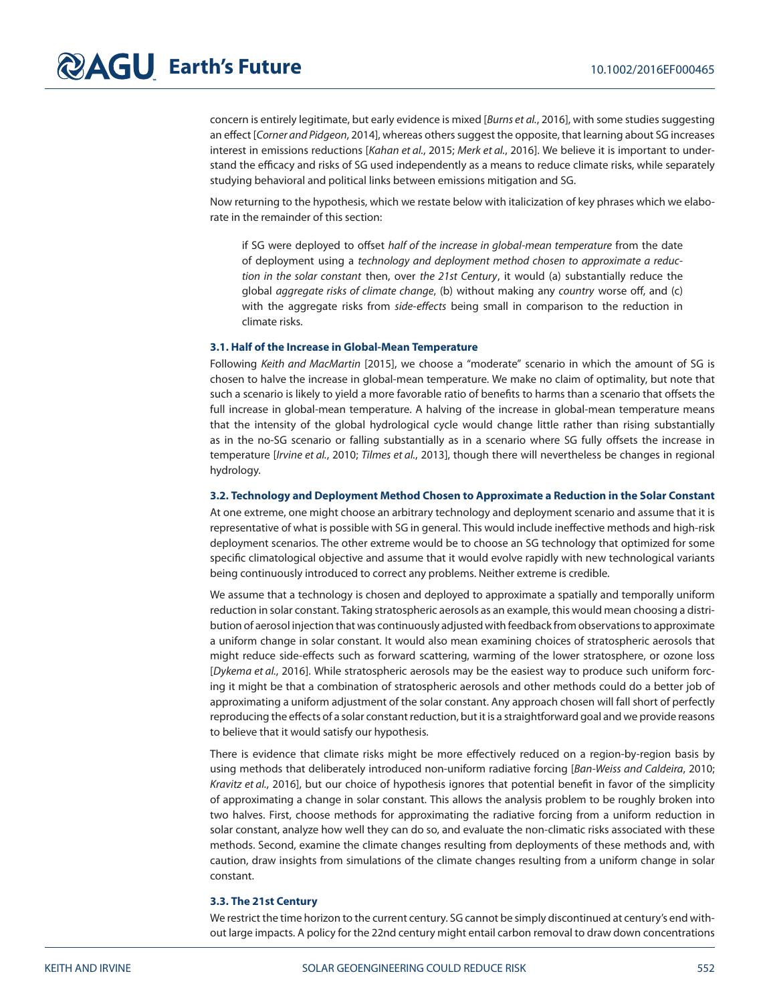concern is entirely legitimate, but early evidence is mixed [Burns et al., 2016], with some studies suggesting an effect [Corner and Pidgeon, 2014], whereas others suggest the opposite, that learning about SG increases interest in emissions reductions [Kahan et al., 2015; Merk et al., 2016]. We believe it is important to understand the efficacy and risks of SG used independently as a means to reduce climate risks, while separately studying behavioral and political links between emissions mitigation and SG.

Now returning to the hypothesis, which we restate below with italicization of key phrases which we elaborate in the remainder of this section:

if SG were deployed to offset half of the increase in global-mean temperature from the date of deployment using a technology and deployment method chosen to approximate a reduction in the solar constant then, over the 21st Century, it would (a) substantially reduce the global *aggregate risks of climate change*, (b) without making any country worse off, and (c) with the aggregate risks from side-effects being small in comparison to the reduction in climate risks.

#### **3.1. Half of the Increase in Global-Mean Temperature**

Following Keith and MacMartin [2015], we choose a "moderate" scenario in which the amount of SG is chosen to halve the increase in global-mean temperature. We make no claim of optimality, but note that such a scenario is likely to yield a more favorable ratio of benefits to harms than a scenario that offsets the full increase in global-mean temperature. A halving of the increase in global-mean temperature means that the intensity of the global hydrological cycle would change little rather than rising substantially as in the no-SG scenario or falling substantially as in a scenario where SG fully offsets the increase in temperature [Irvine et al., 2010; Tilmes et al., 2013], though there will nevertheless be changes in regional hydrology.

#### **3.2. Technology and Deployment Method Chosen to Approximate a Reduction in the Solar Constant**

At one extreme, one might choose an arbitrary technology and deployment scenario and assume that it is representative of what is possible with SG in general. This would include ineffective methods and high-risk deployment scenarios. The other extreme would be to choose an SG technology that optimized for some specific climatological objective and assume that it would evolve rapidly with new technological variants being continuously introduced to correct any problems. Neither extreme is credible.

We assume that a technology is chosen and deployed to approximate a spatially and temporally uniform reduction in solar constant. Taking stratospheric aerosols as an example, this would mean choosing a distribution of aerosol injection that was continuously adjusted with feedback from observations to approximate a uniform change in solar constant. It would also mean examining choices of stratospheric aerosols that might reduce side-effects such as forward scattering, warming of the lower stratosphere, or ozone loss [Dykema et al., 2016]. While stratospheric aerosols may be the easiest way to produce such uniform forcing it might be that a combination of stratospheric aerosols and other methods could do a better job of approximating a uniform adjustment of the solar constant. Any approach chosen will fall short of perfectly reproducing the effects of a solar constant reduction, but it is a straightforward goal and we provide reasons to believe that it would satisfy our hypothesis.

There is evidence that climate risks might be more effectively reduced on a region-by-region basis by using methods that deliberately introduced non-uniform radiative forcing [Ban-Weiss and Caldeira, 2010; Kravitz et al., 2016], but our choice of hypothesis ignores that potential benefit in favor of the simplicity of approximating a change in solar constant. This allows the analysis problem to be roughly broken into two halves. First, choose methods for approximating the radiative forcing from a uniform reduction in solar constant, analyze how well they can do so, and evaluate the non-climatic risks associated with these methods. Second, examine the climate changes resulting from deployments of these methods and, with caution, draw insights from simulations of the climate changes resulting from a uniform change in solar constant.

#### **3.3. The 21st Century**

We restrict the time horizon to the current century. SG cannot be simply discontinued at century's end without large impacts. A policy for the 22nd century might entail carbon removal to draw down concentrations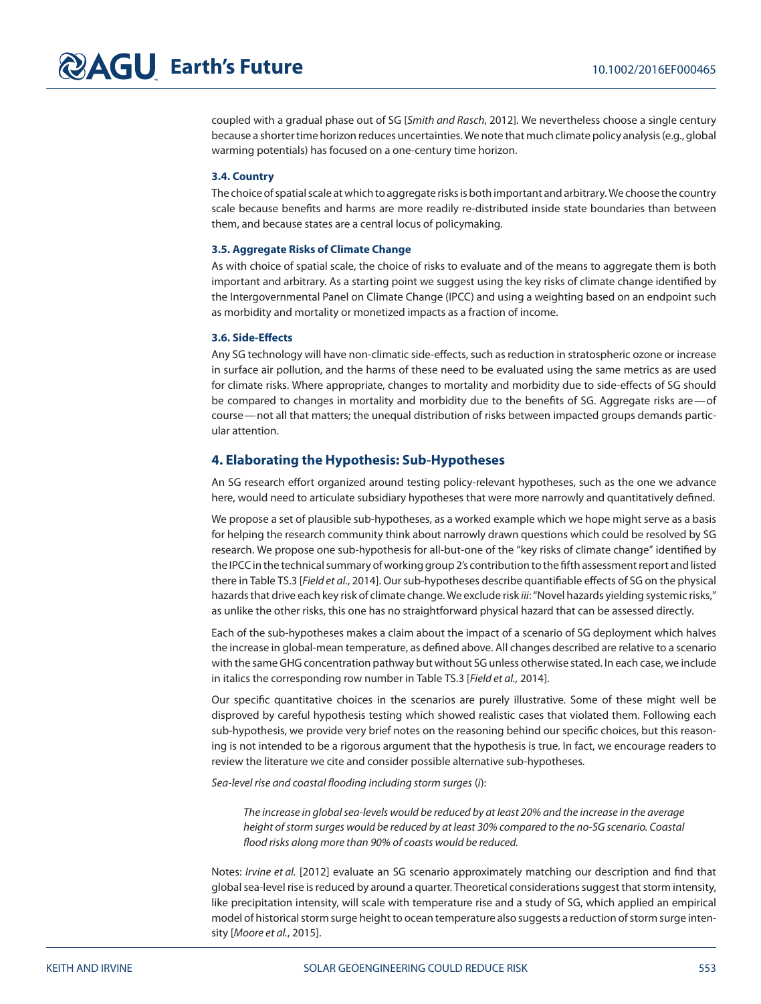coupled with a gradual phase out of SG [Smith and Rasch, 2012]. We nevertheless choose a single century because a shorter time horizon reduces uncertainties. We note that much climate policy analysis (e.g., global warming potentials) has focused on a one-century time horizon.

#### **3.4. Country**

The choice of spatial scale at which to aggregate risks is both important and arbitrary. We choose the country scale because benefits and harms are more readily re-distributed inside state boundaries than between them, and because states are a central locus of policymaking.

#### **3.5. Aggregate Risks of Climate Change**

As with choice of spatial scale, the choice of risks to evaluate and of the means to aggregate them is both important and arbitrary. As a starting point we suggest using the key risks of climate change identified by the Intergovernmental Panel on Climate Change (IPCC) and using a weighting based on an endpoint such as morbidity and mortality or monetized impacts as a fraction of income.

#### **3.6. Side-Effects**

Any SG technology will have non-climatic side-effects, such as reduction in stratospheric ozone or increase in surface air pollution, and the harms of these need to be evaluated using the same metrics as are used for climate risks. Where appropriate, changes to mortality and morbidity due to side-effects of SG should be compared to changes in mortality and morbidity due to the benefits of SG. Aggregate risks are—of course—not all that matters; the unequal distribution of risks between impacted groups demands particular attention.

#### **4. Elaborating the Hypothesis: Sub-Hypotheses**

An SG research effort organized around testing policy-relevant hypotheses, such as the one we advance here, would need to articulate subsidiary hypotheses that were more narrowly and quantitatively defined.

We propose a set of plausible sub-hypotheses, as a worked example which we hope might serve as a basis for helping the research community think about narrowly drawn questions which could be resolved by SG research. We propose one sub-hypothesis for all-but-one of the "key risks of climate change" identified by the IPCC in the technical summary of working group 2's contribution to the fifth assessment report and listed there in Table TS.3 [Field et al., 2014]. Our sub-hypotheses describe quantifiable effects of SG on the physical hazards that drive each key risk of climate change. We exclude risk iii: "Novel hazards yielding systemic risks," as unlike the other risks, this one has no straightforward physical hazard that can be assessed directly.

Each of the sub-hypotheses makes a claim about the impact of a scenario of SG deployment which halves the increase in global-mean temperature, as defined above. All changes described are relative to a scenario with the same GHG concentration pathway but without SG unless otherwise stated. In each case, we include in italics the corresponding row number in Table TS.3 [Field et al., 2014].

Our specific quantitative choices in the scenarios are purely illustrative. Some of these might well be disproved by careful hypothesis testing which showed realistic cases that violated them. Following each sub-hypothesis, we provide very brief notes on the reasoning behind our specific choices, but this reasoning is not intended to be a rigorous argument that the hypothesis is true. In fact, we encourage readers to review the literature we cite and consider possible alternative sub-hypotheses.

Sea-level rise and coastal flooding including storm surges (i):

The increase in global sea-levels would be reduced by at least 20% and the increase in the average height of storm surges would be reduced by at least 30% compared to the no-SG scenario. Coastal flood risks along more than 90% of coasts would be reduced.

Notes: Irvine et al. [2012] evaluate an SG scenario approximately matching our description and find that global sea-level rise is reduced by around a quarter. Theoretical considerations suggest that storm intensity, like precipitation intensity, will scale with temperature rise and a study of SG, which applied an empirical model of historical storm surge height to ocean temperature also suggests a reduction of storm surge intensity [Moore et al., 2015].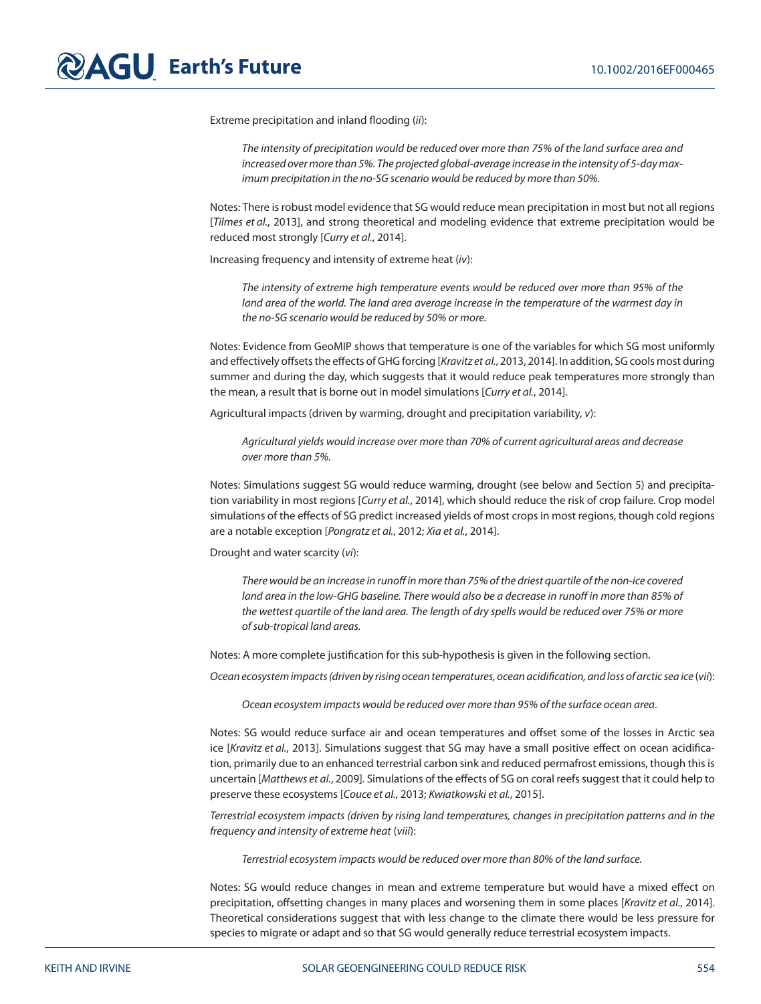Extreme precipitation and inland flooding (ii):

The intensity of precipitation would be reduced over more than 75% of the land surface area and increased over more than 5%. The projected global-average increase in the intensity of 5-day maximum precipitation in the no-SG scenario would be reduced by more than 50%.

Notes: There is robust model evidence that SG would reduce mean precipitation in most but not all regions [Tilmes et al., 2013], and strong theoretical and modeling evidence that extreme precipitation would be reduced most strongly [Curry et al., 2014].

Increasing frequency and intensity of extreme heat (iv):

The intensity of extreme high temperature events would be reduced over more than 95% of the land area of the world. The land area average increase in the temperature of the warmest day in the no-SG scenario would be reduced by 50% or more.

Notes: Evidence from GeoMIP shows that temperature is one of the variables for which SG most uniformly and effectively offsets the effects of GHG forcing [Kravitz et al., 2013, 2014]. In addition, SG cools most during summer and during the day, which suggests that it would reduce peak temperatures more strongly than the mean, a result that is borne out in model simulations [Curry et al., 2014].

Agricultural impacts (driven by warming, drought and precipitation variability, v):

Agricultural yields would increase over more than 70% of current agricultural areas and decrease over more than 5%.

Notes: Simulations suggest SG would reduce warming, drought (see below and Section 5) and precipitation variability in most regions [Curry et al., 2014], which should reduce the risk of crop failure. Crop model simulations of the effects of SG predict increased yields of most crops in most regions, though cold regions are a notable exception [Pongratz et al., 2012; Xia et al., 2014].

Drought and water scarcity (vi):

There would be an increase in runoff in more than 75% of the driest quartile of the non-ice covered land area in the low-GHG baseline. There would also be a decrease in runoff in more than 85% of the wettest quartile of the land area. The length of dry spells would be reduced over 75% or more of sub-tropical land areas.

Notes: A more complete justification for this sub-hypothesis is given in the following section.

Ocean ecosystem impacts(driven by rising ocean temperatures, ocean acidification, and loss of arctic sea ice (vii):

Ocean ecosystem impacts would be reduced over more than 95% of the surface ocean area.

Notes: SG would reduce surface air and ocean temperatures and offset some of the losses in Arctic sea ice [Kravitz et al., 2013]. Simulations suggest that SG may have a small positive effect on ocean acidification, primarily due to an enhanced terrestrial carbon sink and reduced permafrost emissions, though this is uncertain [Matthews et al., 2009]. Simulations of the effects of SG on coral reefs suggest that it could help to preserve these ecosystems [Couce et al., 2013; Kwiatkowski et al., 2015].

Terrestrial ecosystem impacts (driven by rising land temperatures, changes in precipitation patterns and in the frequency and intensity of extreme heat (viii):

Terrestrial ecosystem impacts would be reduced over more than 80% of the land surface.

Notes: SG would reduce changes in mean and extreme temperature but would have a mixed effect on precipitation, offsetting changes in many places and worsening them in some places [Kravitz et al., 2014]. Theoretical considerations suggest that with less change to the climate there would be less pressure for species to migrate or adapt and so that SG would generally reduce terrestrial ecosystem impacts.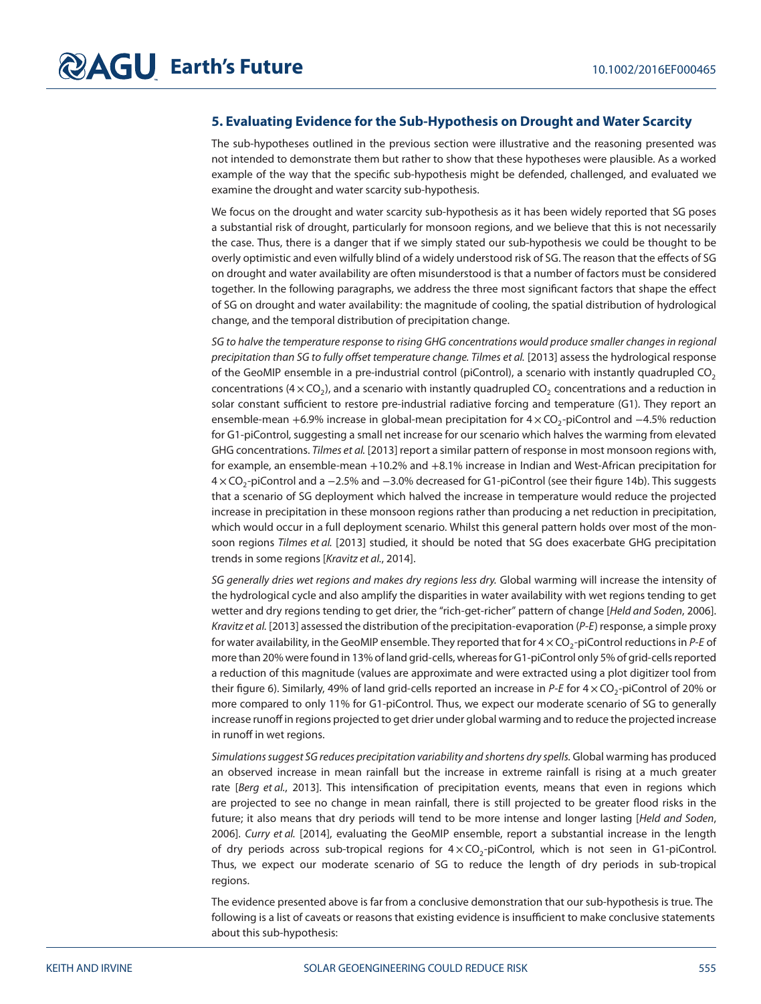#### **5. Evaluating Evidence for the Sub-Hypothesis on Drought and Water Scarcity**

The sub-hypotheses outlined in the previous section were illustrative and the reasoning presented was not intended to demonstrate them but rather to show that these hypotheses were plausible. As a worked example of the way that the specific sub-hypothesis might be defended, challenged, and evaluated we examine the drought and water scarcity sub-hypothesis.

We focus on the drought and water scarcity sub-hypothesis as it has been widely reported that SG poses a substantial risk of drought, particularly for monsoon regions, and we believe that this is not necessarily the case. Thus, there is a danger that if we simply stated our sub-hypothesis we could be thought to be overly optimistic and even wilfully blind of a widely understood risk of SG. The reason that the effects of SG on drought and water availability are often misunderstood is that a number of factors must be considered together. In the following paragraphs, we address the three most significant factors that shape the effect of SG on drought and water availability: the magnitude of cooling, the spatial distribution of hydrological change, and the temporal distribution of precipitation change.

SG to halve the temperature response to rising GHG concentrations would produce smaller changes in regional precipitation than SG to fully offset temperature change. Tilmes et al. [2013] assess the hydrological response of the GeoMIP ensemble in a pre-industrial control (piControl), a scenario with instantly quadrupled CO<sub>2</sub> concentrations ( $4 \times CO<sub>2</sub>$ ), and a scenario with instantly quadrupled CO<sub>2</sub> concentrations and a reduction in solar constant sufficient to restore pre-industrial radiative forcing and temperature (G1). They report an ensemble-mean +6.9% increase in global-mean precipitation for 4 × CO<sub>2</sub>-piControl and −4.5% reduction for G1-piControl, suggesting a small net increase for our scenario which halves the warming from elevated GHG concentrations. Tilmes et al. [2013] report a similar pattern of response in most monsoon regions with, for example, an ensemble-mean +10.2% and +8.1% increase in Indian and West-African precipitation for 4 × CO<sub>2</sub>-piControl and a −2.5% and −3.0% decreased for G1-piControl (see their figure 14b). This suggests that a scenario of SG deployment which halved the increase in temperature would reduce the projected increase in precipitation in these monsoon regions rather than producing a net reduction in precipitation, which would occur in a full deployment scenario. Whilst this general pattern holds over most of the monsoon regions Tilmes et al. [2013] studied, it should be noted that SG does exacerbate GHG precipitation trends in some regions [Kravitz et al., 2014].

SG generally dries wet regions and makes dry regions less dry. Global warming will increase the intensity of the hydrological cycle and also amplify the disparities in water availability with wet regions tending to get wetter and dry regions tending to get drier, the "rich-get-richer" pattern of change [Held and Soden, 2006]. Kravitz et al. [2013] assessed the distribution of the precipitation-evaporation (P-E) response, a simple proxy for water availability, in the GeoMIP ensemble. They reported that for  $4 \times CO<sub>2</sub>$ -piControl reductions in P-E of more than 20% were found in 13% of land grid-cells, whereas for G1-piControl only 5% of grid-cells reported a reduction of this magnitude (values are approximate and were extracted using a plot digitizer tool from their figure 6). Similarly, 49% of land grid-cells reported an increase in P-E for  $4 \times CO_2$ -piControl of 20% or more compared to only 11% for G1-piControl. Thus, we expect our moderate scenario of SG to generally increase runoff in regions projected to get drier under global warming and to reduce the projected increase in runoff in wet regions.

Simulations suggest SG reduces precipitation variability and shortens dry spells. Global warming has produced an observed increase in mean rainfall but the increase in extreme rainfall is rising at a much greater rate [Berg et al., 2013]. This intensification of precipitation events, means that even in regions which are projected to see no change in mean rainfall, there is still projected to be greater flood risks in the future; it also means that dry periods will tend to be more intense and longer lasting [Held and Soden, 2006]. Curry et al. [2014], evaluating the GeoMIP ensemble, report a substantial increase in the length of dry periods across sub-tropical regions for  $4 \times CO<sub>2</sub>$ -piControl, which is not seen in G1-piControl. Thus, we expect our moderate scenario of SG to reduce the length of dry periods in sub-tropical regions.

The evidence presented above is far from a conclusive demonstration that our sub-hypothesis is true. The following is a list of caveats or reasons that existing evidence is insufficient to make conclusive statements about this sub-hypothesis: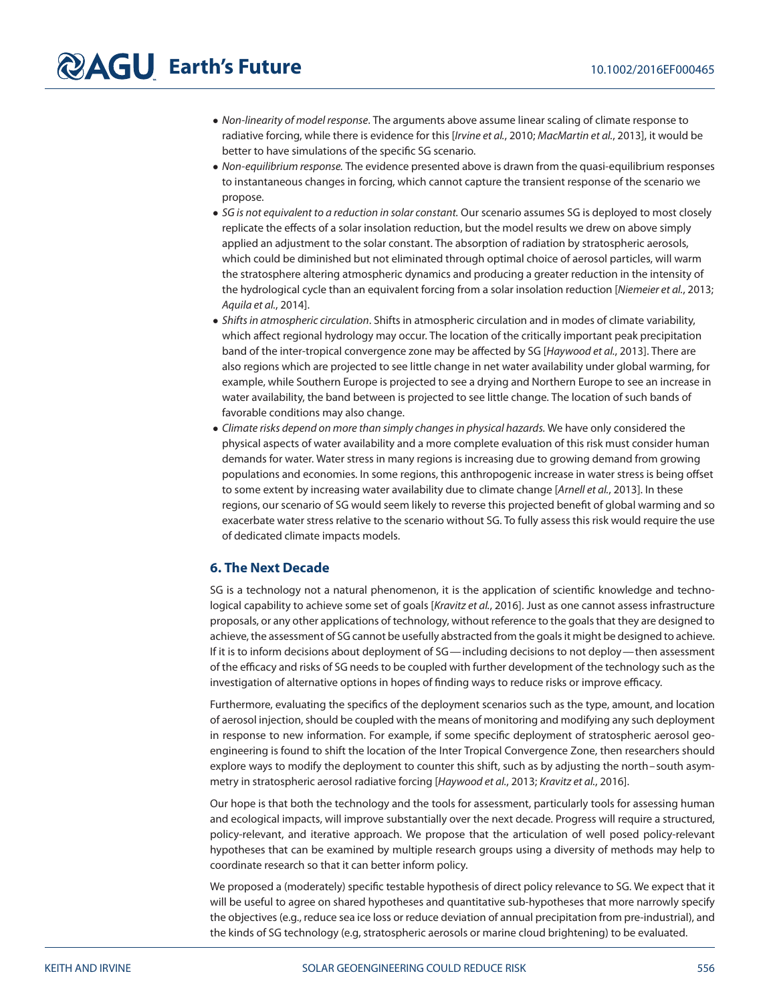- Non-linearity of model response. The arguments above assume linear scaling of climate response to radiative forcing, while there is evidence for this [Irvine et al., 2010; MacMartin et al., 2013], it would be better to have simulations of the specific SG scenario.
- Non-equilibrium response. The evidence presented above is drawn from the quasi-equilibrium responses to instantaneous changes in forcing, which cannot capture the transient response of the scenario we propose.
- SG is not equivalent to a reduction in solar constant. Our scenario assumes SG is deployed to most closely replicate the effects of a solar insolation reduction, but the model results we drew on above simply applied an adjustment to the solar constant. The absorption of radiation by stratospheric aerosols, which could be diminished but not eliminated through optimal choice of aerosol particles, will warm the stratosphere altering atmospheric dynamics and producing a greater reduction in the intensity of the hydrological cycle than an equivalent forcing from a solar insolation reduction [Niemeier et al., 2013; Aquila et al., 2014].
- Shifts in atmospheric circulation. Shifts in atmospheric circulation and in modes of climate variability, which affect regional hydrology may occur. The location of the critically important peak precipitation band of the inter-tropical convergence zone may be affected by SG [Haywood et al., 2013]. There are also regions which are projected to see little change in net water availability under global warming, for example, while Southern Europe is projected to see a drying and Northern Europe to see an increase in water availability, the band between is projected to see little change. The location of such bands of favorable conditions may also change.
- Climate risks depend on more than simply changes in physical hazards. We have only considered the physical aspects of water availability and a more complete evaluation of this risk must consider human demands for water. Water stress in many regions is increasing due to growing demand from growing populations and economies. In some regions, this anthropogenic increase in water stress is being offset to some extent by increasing water availability due to climate change [Arnell et al., 2013]. In these regions, our scenario of SG would seem likely to reverse this projected benefit of global warming and so exacerbate water stress relative to the scenario without SG. To fully assess this risk would require the use of dedicated climate impacts models.

#### **6. The Next Decade**

SG is a technology not a natural phenomenon, it is the application of scientific knowledge and technological capability to achieve some set of goals [Kravitz et al., 2016]. Just as one cannot assess infrastructure proposals, or any other applications of technology, without reference to the goals that they are designed to achieve, the assessment of SG cannot be usefully abstracted from the goals it might be designed to achieve. If it is to inform decisions about deployment of SG—including decisions to not deploy— then assessment of the efficacy and risks of SG needs to be coupled with further development of the technology such as the investigation of alternative options in hopes of finding ways to reduce risks or improve efficacy.

Furthermore, evaluating the specifics of the deployment scenarios such as the type, amount, and location of aerosol injection, should be coupled with the means of monitoring and modifying any such deployment in response to new information. For example, if some specific deployment of stratospheric aerosol geoengineering is found to shift the location of the Inter Tropical Convergence Zone, then researchers should explore ways to modify the deployment to counter this shift, such as by adjusting the north–south asymmetry in stratospheric aerosol radiative forcing [Haywood et al., 2013; Kravitz et al., 2016].

Our hope is that both the technology and the tools for assessment, particularly tools for assessing human and ecological impacts, will improve substantially over the next decade. Progress will require a structured, policy-relevant, and iterative approach. We propose that the articulation of well posed policy-relevant hypotheses that can be examined by multiple research groups using a diversity of methods may help to coordinate research so that it can better inform policy.

We proposed a (moderately) specific testable hypothesis of direct policy relevance to SG. We expect that it will be useful to agree on shared hypotheses and quantitative sub-hypotheses that more narrowly specify the objectives (e.g., reduce sea ice loss or reduce deviation of annual precipitation from pre-industrial), and the kinds of SG technology (e.g, stratospheric aerosols or marine cloud brightening) to be evaluated.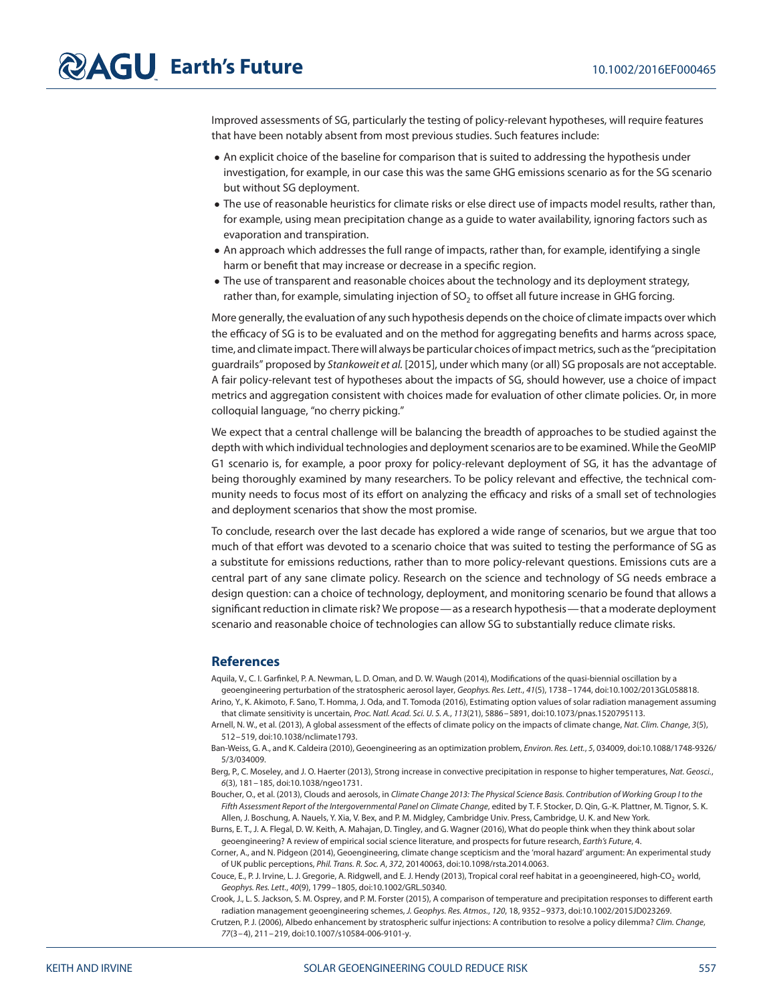Improved assessments of SG, particularly the testing of policy-relevant hypotheses, will require features that have been notably absent from most previous studies. Such features include:

- An explicit choice of the baseline for comparison that is suited to addressing the hypothesis under investigation, for example, in our case this was the same GHG emissions scenario as for the SG scenario but without SG deployment.
- The use of reasonable heuristics for climate risks or else direct use of impacts model results, rather than, for example, using mean precipitation change as a guide to water availability, ignoring factors such as evaporation and transpiration.
- An approach which addresses the full range of impacts, rather than, for example, identifying a single harm or benefit that may increase or decrease in a specific region.
- The use of transparent and reasonable choices about the technology and its deployment strategy, rather than, for example, simulating injection of SO<sub>2</sub> to offset all future increase in GHG forcing.

More generally, the evaluation of any such hypothesis depends on the choice of climate impacts over which the efficacy of SG is to be evaluated and on the method for aggregating benefits and harms across space, time, and climate impact. There will always be particular choices of impact metrics, such as the "precipitation guardrails" proposed by Stankoweit et al. [2015], under which many (or all) SG proposals are not acceptable. A fair policy-relevant test of hypotheses about the impacts of SG, should however, use a choice of impact metrics and aggregation consistent with choices made for evaluation of other climate policies. Or, in more colloquial language, "no cherry picking."

We expect that a central challenge will be balancing the breadth of approaches to be studied against the depth with which individual technologies and deployment scenarios are to be examined. While the GeoMIP G1 scenario is, for example, a poor proxy for policy-relevant deployment of SG, it has the advantage of being thoroughly examined by many researchers. To be policy relevant and effective, the technical community needs to focus most of its effort on analyzing the efficacy and risks of a small set of technologies and deployment scenarios that show the most promise.

To conclude, research over the last decade has explored a wide range of scenarios, but we argue that too much of that effort was devoted to a scenario choice that was suited to testing the performance of SG as a substitute for emissions reductions, rather than to more policy-relevant questions. Emissions cuts are a central part of any sane climate policy. Research on the science and technology of SG needs embrace a design question: can a choice of technology, deployment, and monitoring scenario be found that allows a significant reduction in climate risk? We propose—as a research hypothesis— that a moderate deployment scenario and reasonable choice of technologies can allow SG to substantially reduce climate risks.

#### **References**

- Aquila, V., C. I. Garfinkel, P. A. Newman, L. D. Oman, and D. W. Waugh (2014), Modifications of the quasi-biennial oscillation by a geoengineering perturbation of the stratospheric aerosol layer, Geophys. Res. Lett., 41(5), 1738–1744, doi[:10.1002/2013GL058818.](http://dx.doi.org/info:doi/10.1002/2013GL058818)
- Arino, Y., K. Akimoto, F. Sano, T. Homma, J. Oda, and T. Tomoda (2016), Estimating option values of solar radiation management assuming that climate sensitivity is uncertain, Proc. Natl. Acad. Sci. U. S. A., 113(21), 5886–5891, doi[:10.1073/pnas.1520795113.](http://dx.doi.org/info:doi/10.1073/pnas.1520795113)
- Arnell, N. W., et al. (2013), A global assessment of the effects of climate policy on the impacts of climate change, Mat. Clim. Change, 3(5), 512–519, doi[:10.1038/nclimate1793.](http://dx.doi.org/info:doi/10.1038/nclimate1793)
- Ban-Weiss, G. [A., and K. Caldeira \(2010\), Geoengineering as an optimization problem,](http://dx.doi.org/info:doi/10.1088/1748-9326/5/3/034009) Environ. Res. Lett., 5, 034009, doi:10.1088/1748-9326/ 5/3/034009.
- Berg, P., C. Moseley, and J. O. Haerter (2013), Strong increase in convective precipitation in response to higher temperatures, Nat. Geosci., 6(3), 181–185, doi[:10.1038/ngeo1731.](http://dx.doi.org/info:doi/10.1038/ngeo1731)
- Boucher, O., et al. (2013), Clouds and aerosols, in Climate Change 2013: The Physical Science Basis. Contribution of Working Group I to the Fifth Assessment Report of the Intergovernmental Panel on Climate Change, edited by T. F. Stocker, D. Qin, G.-K. Plattner, M. Tignor, S. K. Allen, J. Boschung, A. Nauels, Y. Xia, V. Bex, and P. M. Midgley, Cambridge Univ. Press, Cambridge, U. K. and New York.
- Burns, E. T., J. A. Flegal, D. W. Keith, A. Mahajan, D. Tingley, and G. Wagner (2016), What do people think when they think about solar geoengineering? A review of empirical social science literature, and prospects for future research, Earth's Future, 4.
- Corner, A., and N. Pidgeon (2014), Geoengineering, climate change scepticism and the 'moral hazard' argument: An experimental study of UK public perceptions, Phil. Trans. R. Soc. A, 372, 20140063, doi[:10.1098/rsta.2014.0063.](http://dx.doi.org/info:doi/10.1098/rsta.2014.0063)
- Couce, E., P. J. Irvine, L. J. Gregorie, A. Ridgwell, and E. J. Hendy (2013), Tropical coral reef habitat in a geoengineered, high-CO<sub>2</sub> world, Geophys. Res. Lett., 40(9), 1799–1805, doi[:10.1002/GRL.50340.](http://dx.doi.org/info:doi/10.1002/GRL.50340)
- Crook, J., L. S. Jackson, S. M. Osprey, and P. M. Forster (2015), A comparison of temperature and precipitation responses to different earth radiation management geoengineering schemes, J. Geophys. Res. Atmos., 120, 18, 9352–9373, do[i:10.1002/2015JD023269.](http://dx.doi.org/info:doi/10.1002/2015JD023269)
- Crutzen, P. J. (2006), Albedo enhancement by stratospheric sulfur injections: A contribution to resolve a policy dilemma? Clim. Change, 77(3–4), 211–219, doi[:10.1007/s10584-006-9101-y.](http://dx.doi.org/info:doi/10.1007/s10584-006-9101-y)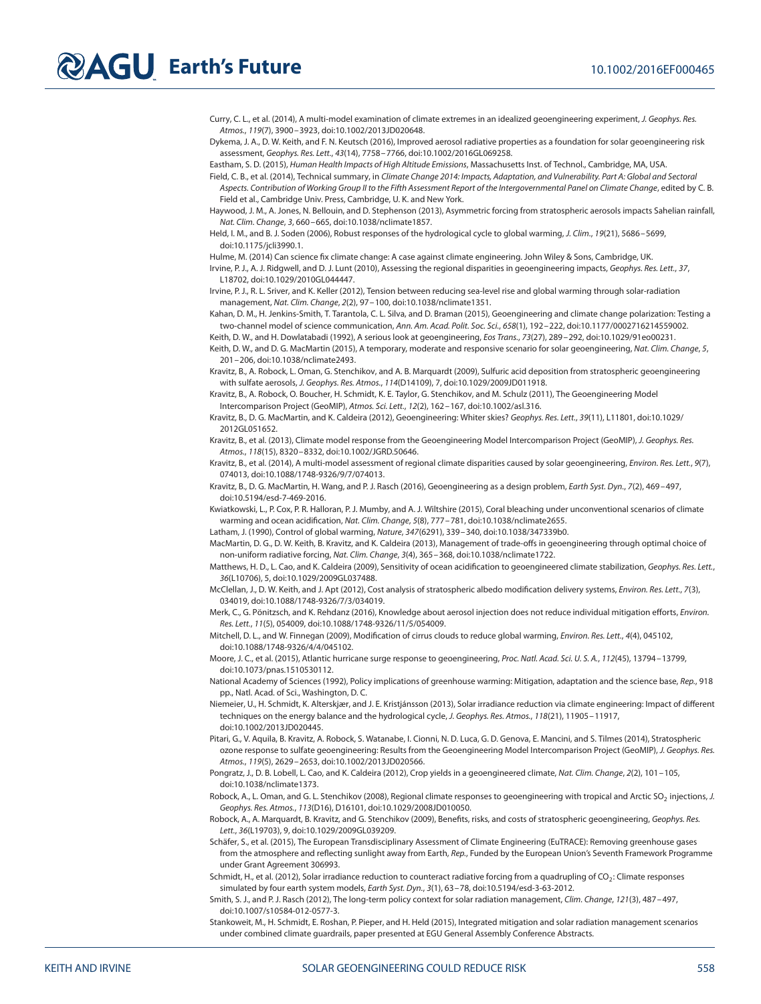## **Earth's Future** 10.1002/2016EF000465

- Curry, C. L., et al. (2014), A multi-model examination of climate extremes in an idealized geoengineering experiment, J. Geophys. Res. Atmos., 119(7), 3900–3923, doi[:10.1002/2013JD020648.](http://dx.doi.org/info:doi/10.1002/2013JD020648)
- Dykema, J. A., D. W. Keith, and F. N. Keutsch (2016), Improved aerosol radiative properties as a foundation for solar geoengineering risk assessment, Geophys. Res. Lett., 43(14), 7758–7766, doi[:10.1002/2016GL069258.](http://dx.doi.org/info:doi/10.1002/2016GL069258)
- Eastham, S. D. (2015), Human Health Impacts of High Altitude Emissions, Massachusetts Inst. of Technol., Cambridge, MA, USA.
- Field, C. B., et al. (2014), Technical summary, in Climate Change 2014: Impacts, Adaptation, and Vulnerability. Part A: Global and Sectoral Aspects. Contribution of Working Group II to the Fifth Assessment Report of the Intergovernmental Panel on Climate Change, edited by C. B. Field et al., Cambridge Univ. Press, Cambridge, U. K. and New York.
- Haywood, J. M., A. Jones, N. Bellouin, and D. Stephenson (2013), Asymmetric forcing from stratospheric aerosols impacts Sahelian rainfall, Nat. Clim. Change, 3, 660–665, doi[:10.1038/nclimate1857.](http://dx.doi.org/info:doi/10.1038/nclimate1857)
- Held, I. M., and B. J. Soden (2006), Robust responses of the hydrological cycle to global warming, J. Clim., 19(21), 5686–5699, do[i:10.1175/jcli3990.1.](http://dx.doi.org/info:doi/10.1175/jcli3990.1)
- Hulme, M. (2014) Can science fix climate change: A case against climate engineering. John Wiley & Sons, Cambridge, UK.
- Irvine, P. J., A. J. Ridgwell, and D. J. Lunt (2010), Assessing the regional disparities in geoengineering impacts, Geophys. Res. Lett., 37, L18702, doi[:10.1029/2010GL044447.](http://dx.doi.org/info:doi/10.1029/2010GL044447)
- Irvine, P. J., R. L. Sriver, and K. Keller (2012), Tension between reducing sea-level rise and global warming through solar-radiation management, Nat. Clim. Change, 2(2), 97–100, doi[:10.1038/nclimate1351.](http://dx.doi.org/info:doi/10.1038/nclimate1351)
- Kahan, D. M., H. Jenkins-Smith, T. Tarantola, C. L. Silva, and D. Braman (2015), Geoengineering and climate change polarization: Testing a two-channel model of science communication, Ann. Am. Acad. Polit. Soc. Sci., 658(1), 192–222, doi[:10.1177/0002716214559002.](http://dx.doi.org/info:doi/10.1177/0002716214559002)
- Keith, D. W., and H. Dowlatabadi (1992), A serious look at geoengineering, Eos Trans., 73(27), 289–292, doi[:10.1029/91eo00231.](http://dx.doi.org/info:doi/10.1029/91eo00231) Keith, D. W., and D. G. MacMartin (2015), A temporary, moderate and responsive scenario for solar geoengineering, Nat. Clim. Change, 5,
- 201–206, doi[:10.1038/nclimate2493.](http://dx.doi.org/info:doi/10.1038/nclimate2493) Kravitz, B., A. Robock, L. Oman, G. Stenchikov, and A. B. Marquardt (2009), Sulfuric acid deposition from stratospheric geoengineering with sulfate aerosols, J. Geophys. Res. Atmos., 114(D14109), 7, doi[:10.1029/2009JD011918.](http://dx.doi.org/info:doi/10.1029/2009JD011918)
- Kravitz, B., A. Robock, O. Boucher, H. Schmidt, K. E. Taylor, G. Stenchikov, and M. Schulz (2011), The Geoengineering Model Intercomparison Project (GeoMIP), Atmos. Sci. Lett., 12(2), 162–167, doi[:10.1002/asl.316.](http://dx.doi.org/info:doi/10.1002/asl.316)
- Kravitz, B., D. G. M[acMartin, and K. Caldeira \(2012\), Geoengineering: Whiter skies?](http://dx.doi.org/info:doi/10.1029/2012GL051652) Geophys. Res. Lett., 39(11), L11801, doi:10.1029/ 2012GL051652.
- Kravitz, B., et al. (2013), Climate model response from the Geoengineering Model Intercomparison Project (GeoMIP), J. Geophys. Res. Atmos., 118(15), 8320–8332, doi[:10.1002/JGRD.50646.](http://dx.doi.org/info:doi/10.1002/JGRD.50646)
- Kravitz, B., et al. (2014), A multi-model assessment of regional climate disparities caused by solar geoengineering, Environ. Res. Lett., 9(7), 074013, doi[:10.1088/1748-9326/9/7/074013.](http://dx.doi.org/info:doi/10.1088/1748-9326/9/7/074013)
- Kravitz, B., D. G. MacMartin, H. Wang, and P. J. Rasch (2016), Geoengineering as a design problem, Earth Syst. Dyn., 7(2), 469-497, do[i:10.5194/esd-7-469-2016.](http://dx.doi.org/info:doi/10.5194/esd-7-469-2016)
- Kwiatkowski, L., P. Cox, P. R. Halloran, P. J. Mumby, and A. J. Wiltshire (2015), Coral bleaching under unconventional scenarios of climate warming and ocean acidification, Nat. Clim. Change, 5(8), 777 – 781, doi[:10.1038/nclimate2655.](http://dx.doi.org/info:doi/10.1038/nclimate2655)
- Latham, J. (1990), Control of global warming, Nature, 347(6291), 339–340, doi[:10.1038/347339b0.](http://dx.doi.org/info:doi/10.1038/347339b0)
- MacMartin, D. G., D. W. Keith, B. Kravitz, and K. Caldeira (2013), Management of trade-offs in geoengineering through optimal choice of non-uniform radiative forcing, Nat. Clim. Change, 3(4), 365–368, doi[:10.1038/nclimate1722.](http://dx.doi.org/info:doi/10.1038/nclimate1722)
- Matthews, H. D., L. Cao, and K. Caldeira (2009), Sensitivity of ocean acidification to geoengineered climate stabilization, Geophys. Res. Lett., 36(L10706), 5, doi[:10.1029/2009GL037488.](http://dx.doi.org/info:doi/10.1029/2009GL037488)
- McClellan, J., D. W. Keith, and J. Apt (2012), Cost analysis of stratospheric albedo modification delivery systems, Environ. Res. Lett., 7(3), 034019, doi[:10.1088/1748-9326/7/3/034019.](http://dx.doi.org/info:doi/10.1088/1748-9326/7/3/034019)
- Merk, C., G. Pönitzsch, and K. Rehdanz (2016), Knowledge about aerosol injection does not reduce individual mitigation efforts, Environ. Res. Lett., 11(5), 054009, doi[:10.1088/1748-9326/11/5/054009.](http://dx.doi.org/info:doi/10.1088/1748-9326/11/5/054009)
- Mitchell, D. L., and W. Finnegan (2009), Modification of cirrus clouds to reduce global warming, Environ. Res. Lett., 4(4), 045102, do[i:10.1088/1748-9326/4/4/045102.](http://dx.doi.org/info:doi/10.1088/1748-9326/4/4/045102)
- Moore, J. C., et al. (2015), Atlantic hurricane surge response to geoengineering, Proc. Natl. Acad. Sci. U. S. A., 112(45), 13794–13799, do[i:10.1073/pnas.1510530112.](http://dx.doi.org/info:doi/10.1073/pnas.1510530112)
- National Academy of Sciences (1992), Policy implications of greenhouse warming: Mitigation, adaptation and the science base, Rep., 918 pp., Natl. Acad. of Sci., Washington, D. C.
- Niemeier, U., H. Schmidt, K. Alterskjær, and J. E. Kristjánsson (2013), Solar irradiance reduction via climate engineering: Impact of different techniques on the energy balance and the hydrological cycle, J. Geophys. Res. Atmos., 118(21), 11905–11917, do[i:10.1002/2013JD020445.](http://dx.doi.org/info:doi/10.1002/2013JD020445)
- Pitari, G., V. Aquila, B. Kravitz, A. Robock, S. Watanabe, I. Cionni, N. D. Luca, G. D. Genova, E. Mancini, and S. Tilmes (2014), Stratospheric ozone response to sulfate geoengineering: Results from the Geoengineering Model Intercomparison Project (GeoMIP), J. Geophys. Res. Atmos., 119(5), 2629–2653, doi[:10.1002/2013JD020566.](http://dx.doi.org/info:doi/10.1002/2013JD020566)
- Pongratz, J., D. B. Lobell, L. Cao, and K. Caldeira (2012), Crop yields in a geoengineered climate, Nat. Clim. Change, 2(2), 101–105, do[i:10.1038/nclimate1373.](http://dx.doi.org/info:doi/10.1038/nclimate1373)
- Robock, A., L. Oman, and G. L. Stenchikov (2008), Regional climate responses to geoengineering with tropical and Arctic SO<sub>2</sub> injections, J. Geophys. Res. Atmos., 113(D16), D16101, doi[:10.1029/2008JD010050.](http://dx.doi.org/info:doi/10.1029/2008JD010050)
- Robock, A., A. Marquardt, B. Kravitz, and G. Stenchikov (2009), Benefits, risks, and costs of stratospheric geoengineering, Geophys. Res. Lett., 36(L19703), 9, doi[:10.1029/2009GL039209.](http://dx.doi.org/info:doi/10.1029/2009GL039209)
- Schäfer, S., et al. (2015), The European Transdisciplinary Assessment of Climate Engineering (EuTRACE): Removing greenhouse gases from the atmosphere and reflecting sunlight away from Earth, Rep., Funded by the European Union's Seventh Framework Programme under Grant Agreement 306993.
- Schmidt, H., et al. (2012), Solar irradiance reduction to counteract radiative forcing from a quadrupling of CO<sub>2</sub>: Climate responses simulated by four earth system models, Earth Syst. Dyn., 3(1), 63–78, doi[:10.5194/esd-3-63-2012.](http://dx.doi.org/info:doi/10.5194/esd-3-63-2012)
- Smith, S. J., and P. J. Rasch (2012), The long-term policy context for solar radiation management, Clim. Change, 121(3), 487-497, do[i:10.1007/s10584-012-0577-3.](http://dx.doi.org/info:doi/10.1007/s10584-012-0577-3)
- Stankoweit, M., H. Schmidt, E. Roshan, P. Pieper, and H. Held (2015), Integrated mitigation and solar radiation management scenarios under combined climate guardrails, paper presented at EGU General Assembly Conference Abstracts.